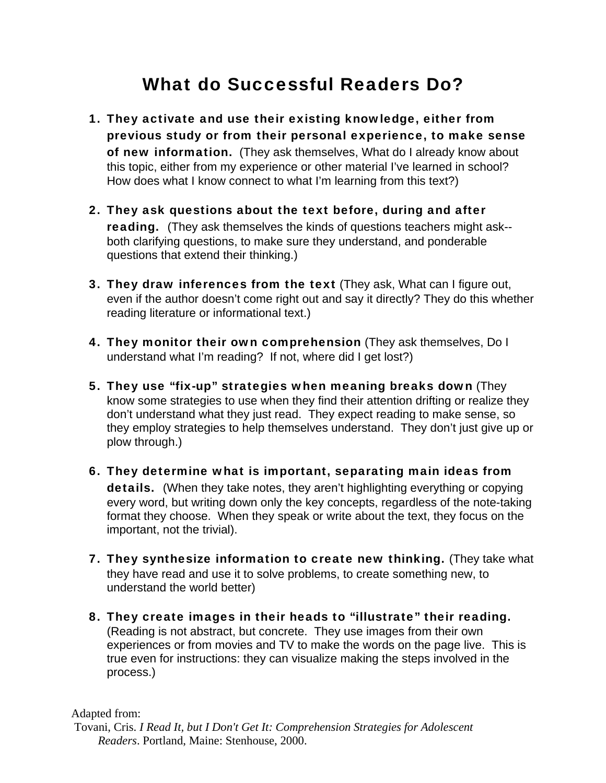# What do Successful Readers Do?

- 1. They activate and use their existing knowledge, either from previous study or from their personal experience, to make sense of new information. (They ask themselves, What do I already know about this topic, either from my experience or other material I've learned in school? How does what I know connect to what I'm learning from this text?)
- 2. They ask questions about the text before, during and after reading. (They ask themselves the kinds of questions teachers might ask-both clarifying questions, to make sure they understand, and ponderable questions that extend their thinking.)
- **3. They draw inferences from the text** (They ask, What can I figure out, even if the author doesn't come right out and say it directly? They do this whether reading literature or informational text.)
- 4. They monitor their own comprehension (They ask themselves, Do I understand what I'm reading? If not, where did I get lost?)
- 5. They use "fix-up" strategies when meaning breaks down (They know some strategies to use when they find their attention drifting or realize they don't understand what they just read. They expect reading to make sense, so they employ strategies to help themselves understand. They don't just give up or plow through.)
- 6. They determine what is important, separating main ideas from details. (When they take notes, they aren't highlighting everything or copying every word, but writing down only the key concepts, regardless of the note-taking format they choose. When they speak or write about the text, they focus on the important, not the trivial).
- 7. They synthesize information to create new thinking. (They take what they have read and use it to solve problems, to create something new, to understand the world better)
- 8. They create images in their heads to "illustrate" their reading. (Reading is not abstract, but concrete. They use images from their own experiences or from movies and TV to make the words on the page live. This is true even for instructions: they can visualize making the steps involved in the process.)

Adapted from:

 Tovani, Cris. *I Read It, but I Don't Get It: Comprehension Strategies for Adolescent Readers*. Portland, Maine: Stenhouse, 2000.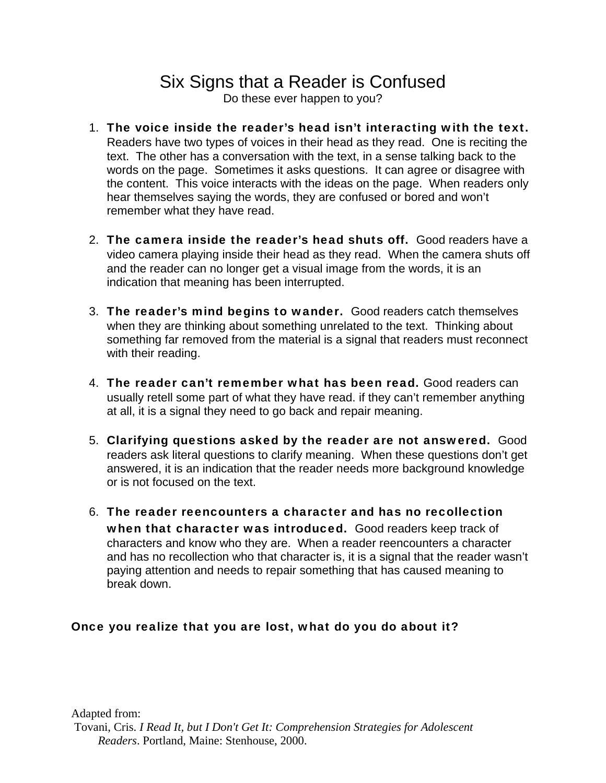# Six Signs that a Reader is Confused

Do these ever happen to you?

- 1. The voice inside the reader's head isn't interacting with the text. Readers have two types of voices in their head as they read. One is reciting the text. The other has a conversation with the text, in a sense talking back to the words on the page. Sometimes it asks questions. It can agree or disagree with the content. This voice interacts with the ideas on the page. When readers only hear themselves saying the words, they are confused or bored and won't remember what they have read.
- 2. The camera inside the reader's head shuts off. Good readers have a video camera playing inside their head as they read. When the camera shuts off and the reader can no longer get a visual image from the words, it is an indication that meaning has been interrupted.
- 3. The reader's mind begins to wander. Good readers catch themselves when they are thinking about something unrelated to the text. Thinking about something far removed from the material is a signal that readers must reconnect with their reading.
- 4. The reader can't remember what has been read. Good readers can usually retell some part of what they have read. if they can't remember anything at all, it is a signal they need to go back and repair meaning.
- 5. Clarifying questions asked by the reader are not answered. Good readers ask literal questions to clarify meaning. When these questions don't get answered, it is an indication that the reader needs more background knowledge or is not focused on the text.
- 6. The reader reencounters a character and has no recollection when that character was introduced. Good readers keep track of characters and know who they are. When a reader reencounters a character and has no recollection who that character is, it is a signal that the reader wasn't paying attention and needs to repair something that has caused meaning to break down.

### Once you realize that you are lost, what do you do about it?

Adapted from:

 Tovani, Cris. *I Read It, but I Don't Get It: Comprehension Strategies for Adolescent Readers*. Portland, Maine: Stenhouse, 2000.